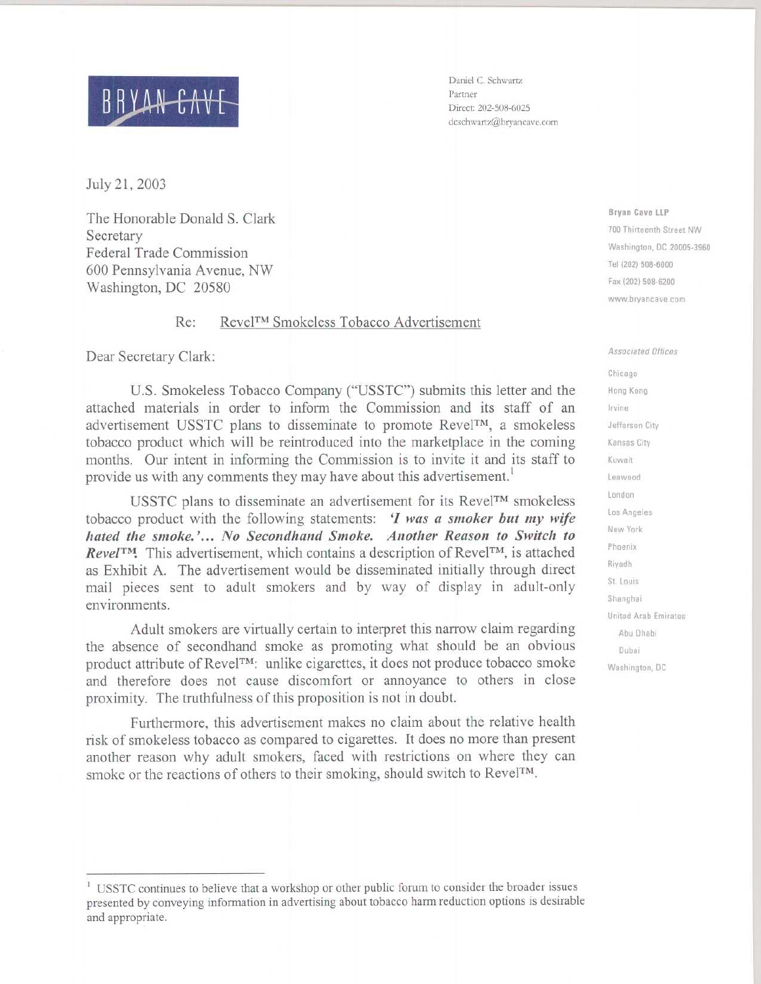## 

July 21, 2003

The Honorable Donald S. Clark Secretary Federal Trade Commission 600 Pennsylvania Avenue, NW Washington, DC 20580

## Re : RevelTM Smokeless Tobacco Advertisement

Dear Secretary Clark:

U.S . Smokeless Tobacco Company ("USSTC") submits this letter and the attached materials in order to inform the Commission and its staff of an advertisement USSTC plans to disseminate to promote RevelTM, a smokeless tobacco product which will be reintroduced into the marketplace in the coming months. Our intent in informing the Commission is to invite it and its staff to provide us with any comments they may have about this advertisement.<sup>1</sup>

USSTC plans to disseminate an advertisement for its Revel™ smokeless tobacco product with the following statements:  $\hat{I}$  was a smoker but my wife hated the smoke.'... No Secondhand Smoke. Another Reason to Switch to Revel<sup>TM</sup>. This advertisement, which contains a description of Revel<sup>TM</sup>, is attached as Exhibit A. The advertisement would be disseminated initially through direct mail pieces sent to adult smokers and by way of display in adult-only environments.

Adult smokers are virtually certain to interpret this narrow claim regarding the absence of secondhand smoke as promoting what should be an obvious product attribute of Revel<sup>TM</sup>: unlike cigarettes, it does not produce tobacco smoke and therefore does not cause discomfort or annoyance to others in close proximity. The truthfulness of this proposition is not in doubt.

Furthermore, this advertisement makes no claim about the relative health risk of smokeless tobacco as compared to cigarettes . It does no more than present another reason why adult smokers, faced with restrictions on where they can smoke or the reactions of others to their smoking, should switch to Revel<sup>TM</sup>.

Daniel C. Schwartz Partner Direct: 202-508-6025 dcschwartz@bryancave.com

> Bryan Cave LLP 700 Thirteenth Street NW Washington, DC 20005-3960 Tel (202) 508-6000 Fax (202) 508-6200 www.bryancave.com

Associated Offices Chicago Hong Kong Irvine Jefferson City Kansas City Kuwait Leawood London Los Angeles New York Phoenix Riyadh St. Louis Shanghai United Arab Emirates Abu Dhabi Dubai Washington, DC

USSTC continues to believe that a workshop or other public forum to consider the broader issues presented by conveying information in advertising about tobacco harm reduction options is desirable and appropriate.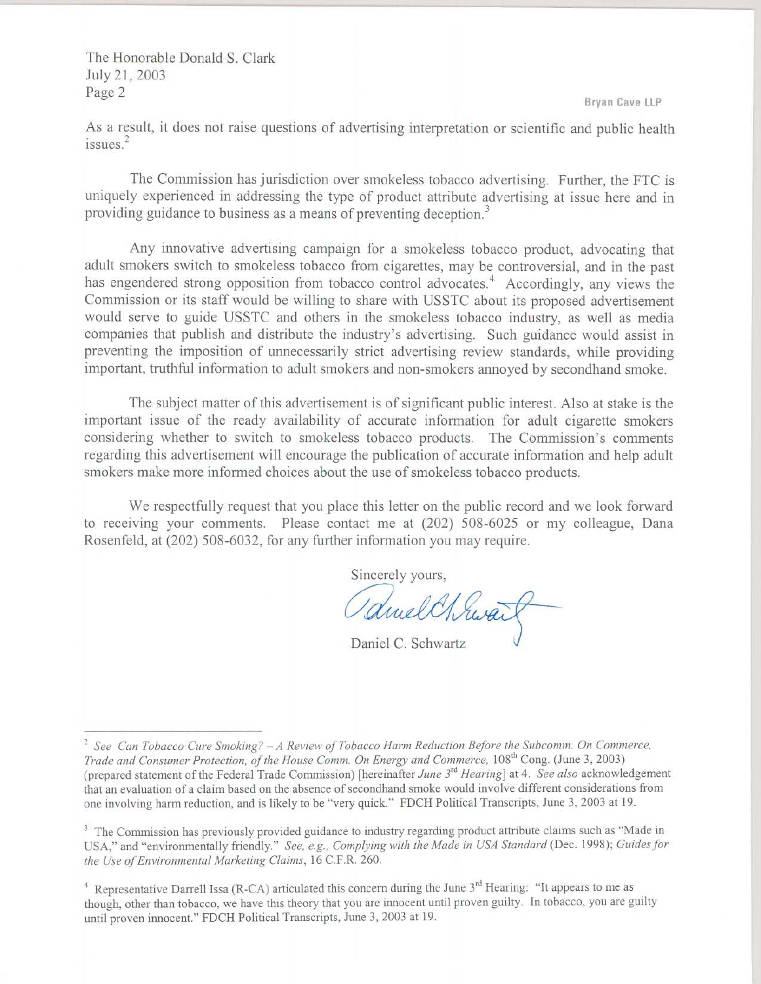Bryan Cave LLP

The Honorable Donald S. Clark July 21, 2003 Page 2

As a result, it does not raise questions of advertising interpretation or scientific and public health issues.<sup>2</sup>

The Commission has jurisdiction over smokeless tobacco advertising. Further, the FTC is uniquely experienced in addressing the type of product attribute advertising at issue here and in providing guidance to business as a means of preventing deception.<sup>3</sup>

Any innovative advertising campaign for a smokeless tobacco product, advocating that adult smokers switch to smokeless tobacco from cigarettes, may be controversial, and in the past has engendered strong opposition from tobacco control advocates.<sup>4</sup> Accordingly, any views the Commission or its staff would be willing to share with USSTC about its proposed advertisement would serve to guide USSTC and others in the smokeless tobacco industry, as well as media companies that publish and distribute the industry's advertising. Such guidance would assist in preventing the imposition of unnecessarily strict advertising review standards, while providing important, truthful information to adult smokers and non-smokers annoyed by secondhand smoke .

The subject matter of this advertisement is of significant public interest. Also at stake is the important issue of the ready availability of accurate information for adult cigarette smokers considering whether to switch to smokeless tobacco products. The Commission's comments regarding this advertisement will encourage the publication of accurate information and help adult smokers make more informed choices about the use of smokeless tobacco products .

We respectfully request that you place this letter on the public record and we look forward to receiving your comments . Please contact me at (202) 508-6025 or my colleague, Dana Rosenfeld, at (202) 508-6032, for any further information you may require .

Sincerely yours,

Daniel C. Schwartz

<sup>2</sup> See Can Tobacco Cure Smoking? -A Review of Tobacco Harm Reduction Before the Subcomm . On Commerce, Trade and Consumer Protection, of the House Comm. On Energy and Commerce, 108<sup>th</sup> Cong. (June 3, 2003) (prepared statement of the Federal Trade Commission) [hereinafter June 3<sup>rd</sup> Hearing] at 4. See also acknowledgement that an evaluation of a claim based on the absence of secondhand smoke would involve different considerations from one involving harm reduction, and is likely to be "very quick ." FDCH Political Transcripts, June 3, 2003 at 19 .

<sup>&</sup>lt;sup>3</sup> The Commission has previously provided guidance to industry regarding product attribute claims such as "Made in USA," and "environmentally friendly." See, e.g., Complying with the Made in USA Standard (Dec. 1998); Guides for the Use of Environmental Marketing Claims, 16 C.F.R. 260.

<sup>&</sup>lt;sup>4</sup> Representative Darrell Issa (R-CA) articulated this concern during the June  $3^{rd}$  Hearing: "It appears to me as though, other than tobacco, we have this theory that you are innocent until proven guilty . In tobacco, you are guilty until proven innocent." FDCH Political Transcripts, June 3, 2003 at 19 .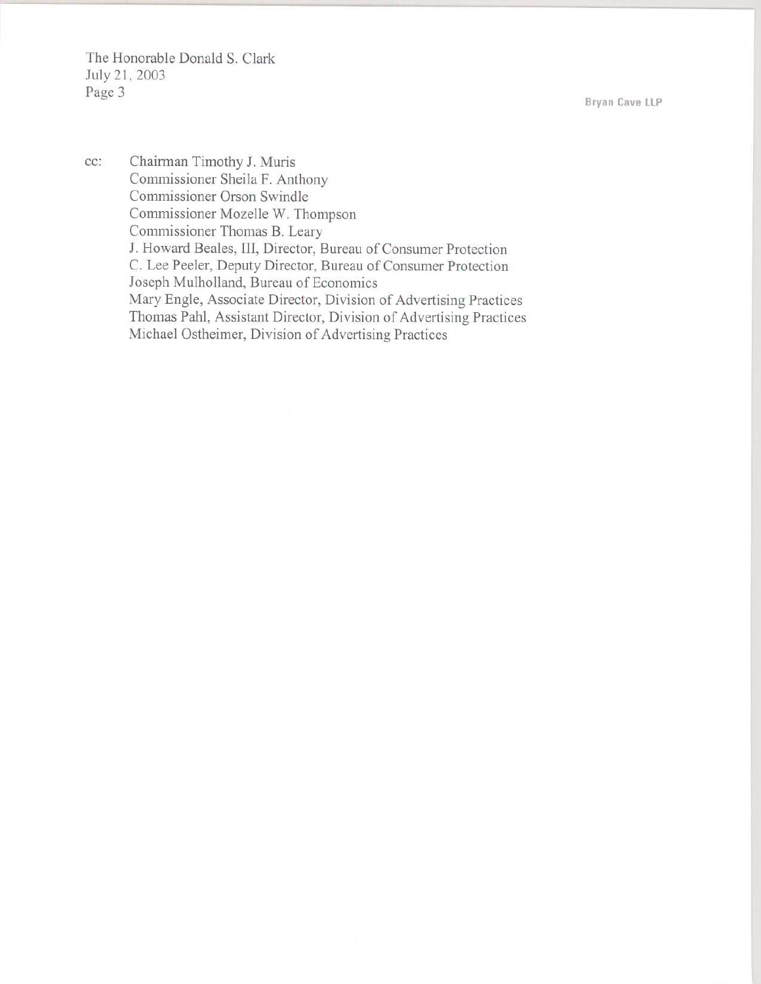The Honorable Donald S. Clark July 21, 2003 Page 3 

Bryan Cave LLP

cc: Chairman Timothy J. Muris Commissioner Sheila F. Anthony Commissioner Orson Swindle Commissioner Mozelle W. Thompson Commissioner Thomas B. Leary J. Howard Beales, III, Director, Bureau of Consumer Protection C. Lee Peeler, Deputy Director, Bureau of Consumer Protection Joseph Mulholland, Bureau of Economics Mary Engle, Associate Director, Division of Advertising Practices Thomas Pahl, Assistant Director, Division of Advertising Practices Michael Ostheimer, Division of Advertising Practices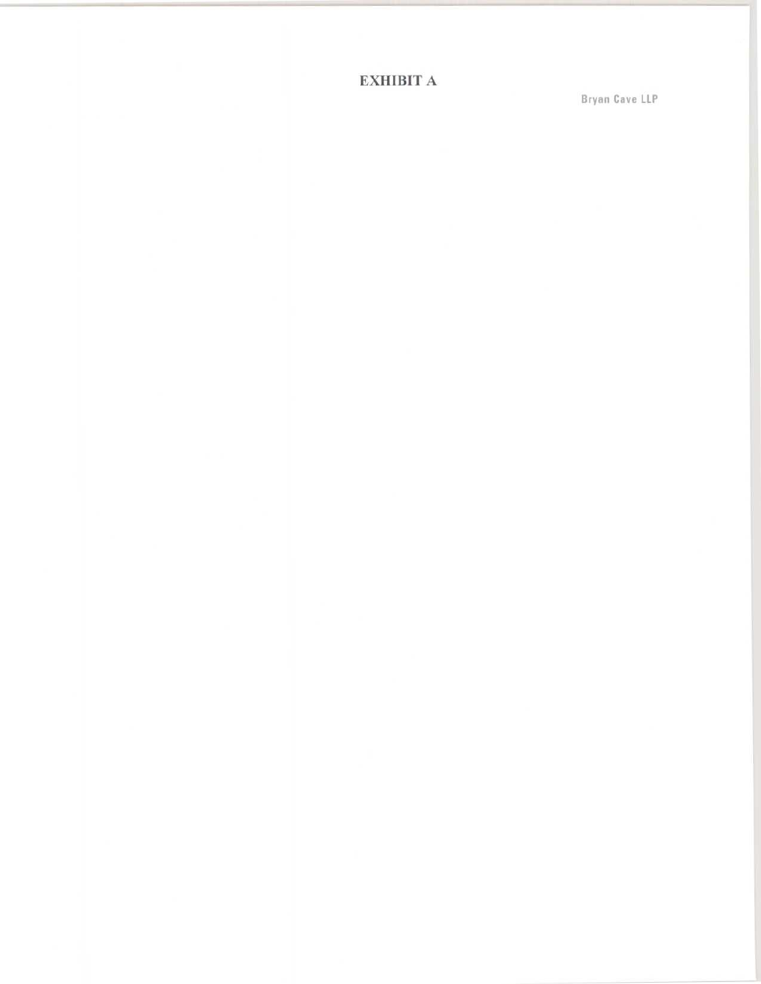EXHIBIT A

Bryan Cave LLP